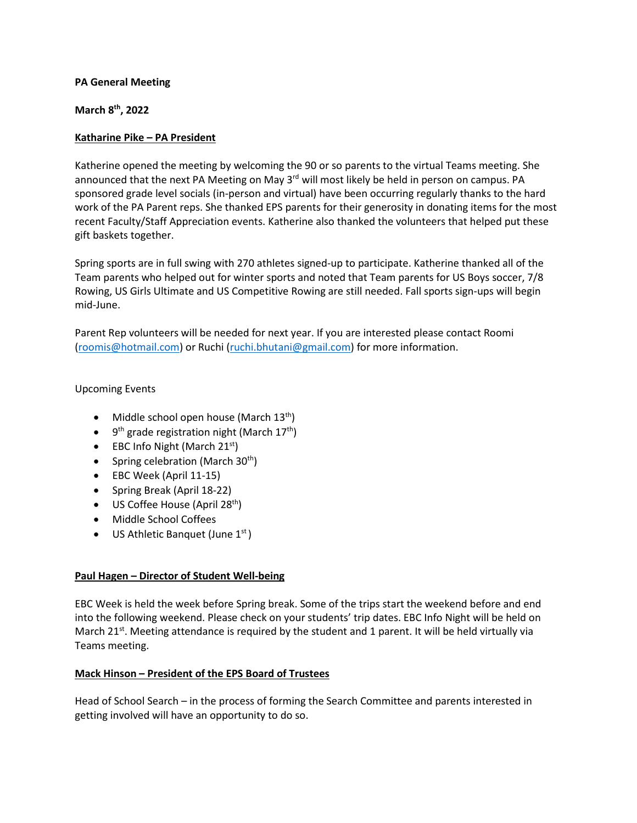## **PA General Meeting**

**March 8th, 2022**

## **Katharine Pike – PA President**

Katherine opened the meeting by welcoming the 90 or so parents to the virtual Teams meeting. She announced that the next PA Meeting on May  $3<sup>rd</sup>$  will most likely be held in person on campus. PA sponsored grade level socials (in-person and virtual) have been occurring regularly thanks to the hard work of the PA Parent reps. She thanked EPS parents for their generosity in donating items for the most recent Faculty/Staff Appreciation events. Katherine also thanked the volunteers that helped put these gift baskets together.

Spring sports are in full swing with 270 athletes signed-up to participate. Katherine thanked all of the Team parents who helped out for winter sports and noted that Team parents for US Boys soccer, 7/8 Rowing, US Girls Ultimate and US Competitive Rowing are still needed. Fall sports sign-ups will begin mid-June.

Parent Rep volunteers will be needed for next year. If you are interested please contact Roomi [\(roomis@hotmail.com\)](mailto:roomis@hotmail.com) or Ruchi [\(ruchi.bhutani@gmail.com\)](mailto:ruchi.bhutani@gmail.com) for more information.

# Upcoming Events

- Middle school open house (March  $13^{th}$ )
- 9<sup>th</sup> grade registration night (March 17<sup>th</sup>)
- EBC Info Night (March  $21<sup>st</sup>$ )
- Spring celebration (March  $30<sup>th</sup>$ )
- EBC Week (April 11-15)
- Spring Break (April 18-22)
- $\bullet$  US Coffee House (April 28<sup>th</sup>)
- Middle School Coffees
- US Athletic Banquet (June  $1<sup>st</sup>$ )

#### **Paul Hagen – Director of Student Well-being**

EBC Week is held the week before Spring break. Some of the trips start the weekend before and end into the following weekend. Please check on your students' trip dates. EBC Info Night will be held on March 21st. Meeting attendance is required by the student and 1 parent. It will be held virtually via Teams meeting.

# **Mack Hinson – President of the EPS Board of Trustees**

Head of School Search – in the process of forming the Search Committee and parents interested in getting involved will have an opportunity to do so.